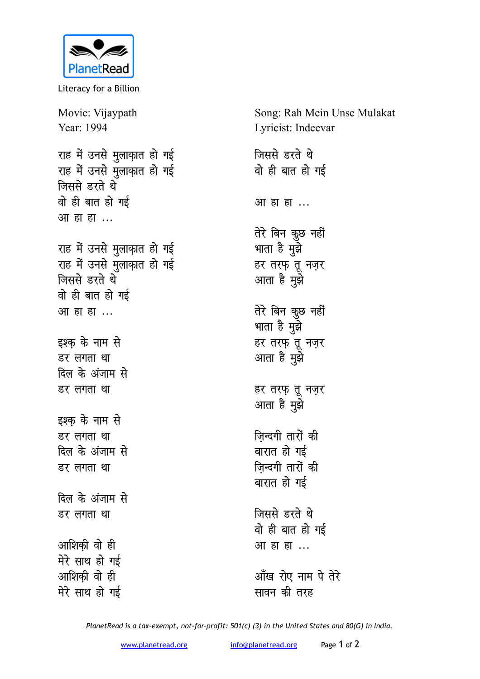

Literacy for a Billion

Movie: Vijaypath Year: 1994 राह में उनसे मुलाक़ात हो गई राह में उनसे मुलाक़ात हो गई **जिससे** डरते थे <u>वो</u> ही बात हो गई आ हा ह<u>ा</u> ... राह में उनसे मुलाक़ात हो गई राह में उनसे मुलाक़ात हो गई <u>जिससे डरते थे</u> <u>वो ही बात हो गई</u> आ हा ह<u>ा</u> ... इश्क के नाम से *डर लगता था* दिल के अंजाम से **डर लगता था** इश्क के नाम से *डर लगता था* दिल के अंजाम से *डर लगता था* <u>दिल के अंजाम से</u> *डर लगता था* आशिकी वो ही मेरे साथ हो गई आशिकी वो ही मेरे साथ हो गई

Song: Rah Mein Unse Mulakat Lyricist: Indeevar

**जिससे** डरते थे <u>वो</u> ही बात हो गई <u>आ</u> हा हा ... **तेरे बिन कुछ नहीं** भाता है मुझे हर तरफ़ तू नज़र आता है मुझे तेरे बिन कुछ नहीं भाता है मुझे हर तरफ़ तू नज़र आता है मुझे हर तरफ़ तू नज़र आता है मुझे **जिन्दगी तारों की** बारात हो गई **ज़िन्दगी तारों की** बारात हो गई **जिससे** डरते थे <u>वो ही बात हो गई</u> आ हा ह<u>ा</u> ...

<u>आँख रोए नाम पे तेरे</u> **सावन की तरह** 

*PlanetRead is a tax-exempt, not-for-profit: 501(c) (3) in the United States and 80(G) in India.*